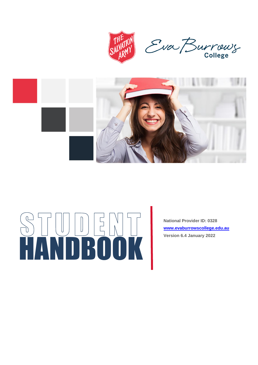



# HANDBOOK

**National Provider ID: 0328 [www.evaburrowscollege.edu.au](http://www.evaburrowscollege.edu.au/) Version 6.4 January 2022**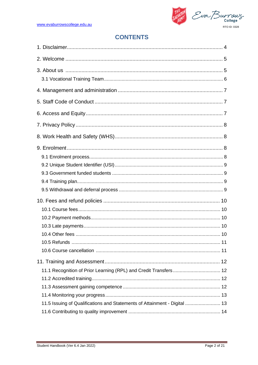THE TON<br>SALVATON Eva Burrows RTO ID: 0328

# **CONTENTS**

| 11.5 Issuing of Qualifications and Statements of Attainment - Digital  13 |  |
|---------------------------------------------------------------------------|--|
|                                                                           |  |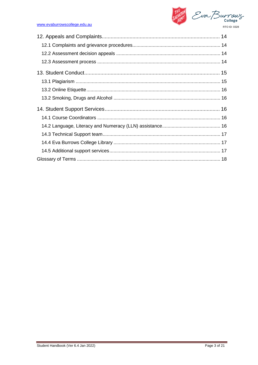

## www.evaburrowscollege.edu.au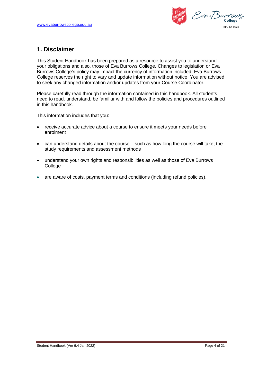Eva Burrau RTO ID: 0328

# **1. Disclaimer**

This Student Handbook has been prepared as a resource to assist you to understand your obligations and also, those of Eva Burrows College. Changes to legislation or Eva Burrows College's policy may impact the currency of information included. Eva Burrows College reserves the right to vary and update information without notice. You are advised to seek any changed information and/or updates from your Course Coordinator.

Please carefully read through the information contained in this handbook. All students need to read, understand, be familiar with and follow the policies and procedures outlined in this handbook.

This information includes that you:

- receive accurate advice about a course to ensure it meets your needs before enrolment
- can understand details about the course such as how long the course will take, the study requirements and assessment methods
- understand your own rights and responsibilities as well as those of Eva Burrows **College**
- are aware of costs, payment terms and conditions (including refund policies).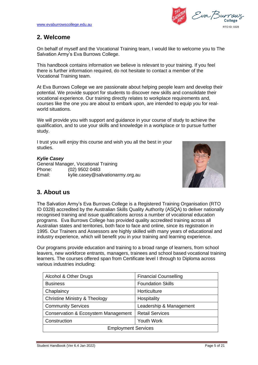Eva Buri RTO ID: 0328

# **2. Welcome**

On behalf of myself and the Vocational Training team, I would like to welcome you to The Salvation Army's Eva Burrows College.

This handbook contains information we believe is relevant to your training. If you feel there is further information required, do not hesitate to contact a member of the Vocational Training team.

At Eva Burrows College we are passionate about helping people learn and develop their potential. We provide support for students to discover new skills and consolidate their vocational experience. Our training directly relates to workplace requirements and, courses like the one you are about to embark upon, are intended to equip you for realworld situations.

We will provide you with support and guidance in your course of study to achieve the qualification, and to use your skills and knowledge in a workplace or to pursue further study.

I trust you will enjoy this course and wish you all the best in your studies.

# *Kylie Casey*

General Manager, Vocational Training Phone: (02) 9502 0483 Email: kylie.casey@salvationarmy.org.au



# **3. About us**

The Salvation Army's Eva Burrows College is a Registered Training Organisation (RTO ID 0328) accredited by the Australian Skills Quality Authority (ASQA) to deliver nationally recognised training and issue qualifications across a number of vocational education programs. Eva Burrows College has provided quality accredited training across all Australian states and territories, both face to face and online, since its registration in 1995. Our Trainers and Assessors are highly skilled with many years of educational and industry experience, which will benefit you in your training and learning experience.

Our programs provide education and training to a broad range of learners, from school leavers, new workforce entrants, managers, trainees and school based vocational training learners. The courses offered span from Certificate level I through to Diploma across various industries including:

| Alcohol & Other Drugs                    | <b>Financial Counselling</b> |  |  |
|------------------------------------------|------------------------------|--|--|
| <b>Business</b>                          | <b>Foundation Skills</b>     |  |  |
| Chaplaincy                               | Horticulture                 |  |  |
| <b>Christine Ministry &amp; Theology</b> | Hospitality                  |  |  |
| <b>Community Services</b>                | Leadership & Management      |  |  |
| Conservation & Ecosystem Management      | <b>Retail Services</b>       |  |  |
| Construction                             | Youth Work                   |  |  |
| <b>Employment Services</b>               |                              |  |  |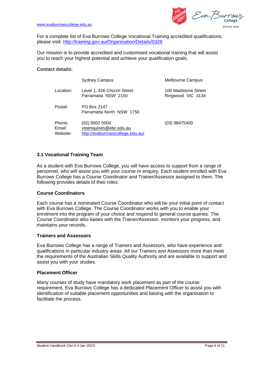

Eva Burrau RTO ID: 0328

For a complete list of Eva Burrows College Vocational Training accredited qualifications, please visit:<http://training.gov.au/Organisation/Details/0328>

Our mission is to provide accredited and customised vocational training that will assist you to reach your highest potential and achieve your qualification goals.

## **Contact details:**

|                              | <b>Sydney Campus</b>                                                          | <b>Melbourne Campus</b>                   |
|------------------------------|-------------------------------------------------------------------------------|-------------------------------------------|
| Location:                    | Level 1, 426 Church Street<br>Parramatta NSW 2150                             | 100 Maidstone Street<br>Ringwood VIC 3134 |
| Postal:                      | PO Box 2147<br>Parramatta North NSW 1750                                      |                                           |
| Phone:<br>Email:<br>Website: | (02) 9502 5004<br>vtoenquiries@ebc.edu.au<br>http://evaburrowscollege.edu.au/ | (03) 98475400                             |

# **3.1 Vocational Training Team**

As a student with Eva Burrows College, you will have access to support from a range of personnel, who will assist you with your course or enquiry. Each student enrolled with Eva Burrows College has a Course Coordinator and Trainer/Assessor assigned to them. The following provides details of their roles:

## **Course Coordinators**

Each course has a nominated Course Coordinator who will be your initial point of contact with Eva Burrows College. The Course Coordinator works with you to enable your enrolment into the program of your choice and respond to general course queries. The Course Coordinator also liaises with the Trainer/Assessor, monitors your progress, and maintains your records.

## **Trainers and Assessors**

Eva Burrows College has a range of Trainers and Assessors, who have experience and qualifications in particular industry areas. All our Trainers and Assessors more than meet the requirements of the Australian Skills Quality Authority and are available to support and assist you with your studies.

## **Placement Officer**

Many courses of study have mandatory work placement as part of the course requirement. Eva Burrows College has a dedicated Placement Officer to assist you with identification of suitable placement opportunities and liaising with the organisation to facilitate the process.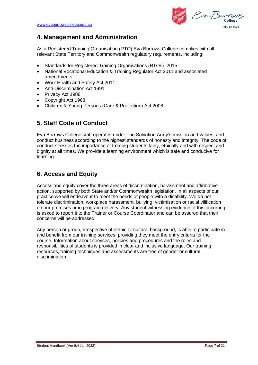Eva Burrou RTO ID: 0328

# **4. Management and Administration**

As a Registered Training Organisation (RTO) Eva Burrows College complies with all relevant State Territory and Commonwealth regulatory requirements, including:

- Standards for Registered Training Organisations (RTOs) 2015
- National Vocational Education & Training Regulator Act 2011 and associated amendments
- Work Health and Safety Act 2011
- Anti-Discrimination Act 1991
- Privacy Act 1988
- Copyright Act 1968
- Children & Young Persons (Care & Protection) Act 2008

# **5. Staff Code of Conduct**

Eva Burrows College staff operates under The Salvation Army's mission and values, and conduct business according to the highest standards of honesty and integrity. The code of conduct stresses the importance of treating students fairly, ethically and with respect and dignity at all times. We provide a learning environment which is safe and conducive for learning.

# **6. Access and Equity**

Access and equity cover the three areas of discrimination, harassment and affirmative action, supported by both State and/or Commonwealth legislation. In all aspects of our practice we will endeavour to meet the needs of people with a disability. We do not tolerate discrimination, workplace harassment, bullying, victimisation or racial vilification on our premises or in program delivery. Any student witnessing evidence of this occurring is asked to report it to the Trainer or Course Coordinator and can be assured that their concerns will be addressed.

Any person or group, irrespective of ethnic or cultural background, is able to participate in and benefit from our training services, providing they meet the entry criteria for the course. Information about services, policies and procedures and the roles and responsibilities of students is provided in clear and inclusive language. Our training resources, training techniques and assessments are free of gender or cultural discrimination.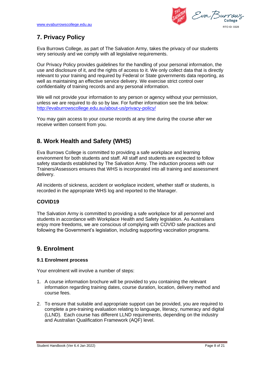Eva Burrou RTO ID: 0328

# **7. Privacy Policy**

Eva Burrows College, as part of The Salvation Army, takes the privacy of our students very seriously and we comply with all legislative requirements.

Our Privacy Policy provides guidelines for the handling of your personal information, the use and disclosure of it, and the rights of access to it. We only collect data that is directly relevant to your training and required by Federal or State governments data reporting, as well as maintaining an effective service delivery. We exercise strict control over confidentiality of training records and any personal information.

We will not provide your information to any person or agency without your permission, unless we are required to do so by law. For further information see the link below: <http://evaburrowscollege.edu.au/about-us/privacy-policy/>

You may gain access to your course records at any time during the course after we receive written consent from you.

# **8. Work Health and Safety (WHS)**

Eva Burrows College is committed to providing a safe workplace and learning environment for both students and staff. All staff and students are expected to follow safety standards established by The Salvation Army. The induction process with our Trainers/Assessors ensures that WHS is incorporated into all training and assessment delivery.

All incidents of sickness, accident or workplace incident, whether staff or students, is recorded in the appropriate WHS log and reported to the Manager.

# **COVID19**

The Salvation Army is committed to providing a safe workplace for all personnel and students in accordance with Workplace Health and Safety legislation. As Australians enjoy more freedoms, we are conscious of complying with COVID safe practices and following the Government's legislation, including supporting vaccination programs.

# **9. Enrolment**

# **9.1 Enrolment process**

Your enrolment will involve a number of steps:

- 1. A course information brochure will be provided to you containing the relevant information regarding training dates, course duration, location, delivery method and course fees.
- 2. To ensure that suitable and appropriate support can be provided, you are required to complete a pre-training evaluation relating to language, literacy, numeracy and digital (LLND). Each course has different LLND requirements, depending on the industry and Australian Qualification Framework (AQF) level.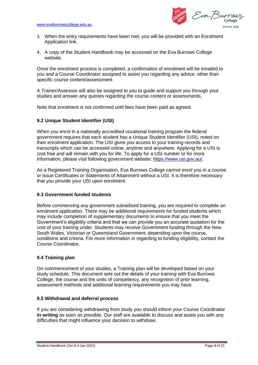Eva Burro RTO ID: 0328

- 3. When the entry requirements have been met, you will be provided with an Enrolment Application link.
- 4. A copy of the Student Handbook may be accessed on the Eva Burrows College website.

Once the enrolment process is completed, a confirmation of enrolment will be emailed to you and a Course Coordinator assigned to assist you regarding any advice, other than specific course content/assessment.

A Trainer/Assessor will also be assigned to you to guide and support you through your studies and answer any queries regarding the course content or assessments.

Note that enrolment is not confirmed until fees have been paid as agreed.

# **9.2 Unique Student Identifier (USI)**

When you enrol in a nationally accredited vocational training program the federal government requires that each student has a Unique Student Identifier (USI), noted on their enrolment application. The USI gives you access to your training records and transcripts which can be accessed online, anytime and anywhere. Applying for a USI is cost free and will remain with you for life. To apply for a USI number or for more information, please visit following government website: [https://www.usi.gov.au/.](https://www.usi.gov.au/)

As a Registered Training Organisation, Eva Burrows College cannot enrol you in a course or issue Certificates or Statements of Attainment without a USI. It is therefore necessary that you provide your USI upon enrolment.

# **9.3 Government funded students**

Before commencing any government subsidised training, you are required to complete an enrolment application. There may be additional requirements for funded students which may include completion of supplementary documents to ensure that you meet the Government's eligibility criteria and that we can provide you an accurate quotation for the cost of your training under. Students may receive Government funding through the New South Wales, Victorian or Queensland Government, depending upon the course, conditions and criteria. For more information in regarding to funding eligibility, contact the Course Coordinator.

# **9.4 Training plan**

On commencement of your studies, a Training plan will be developed based on your study schedule. This document sets out the details of your training with Eva Burrows College, the course and the units of competency, any recognition of prior learning, assessment methods and additional learning requirements you may have.

# **9.5 Withdrawal and deferral process**

If you are considering withdrawing from study you should inform your Course Coordinator **in writing** as soon as possible. Our staff are available to discuss and assist you with any difficulties that might influence your decision to withdraw.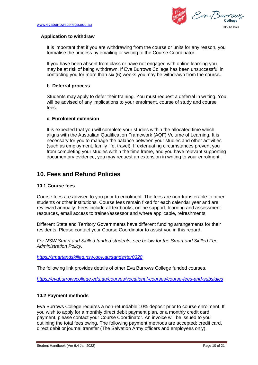Eva Burrou RTO ID: 0328

## **Application to withdraw**

It is important that if you are withdrawing from the course or units for any reason, you formalise the process by emailing or writing to the Course Coordinator.

If you have been absent from class or have not engaged with online learning you may be at risk of being withdrawn. If Eva Burrows College has been unsuccessful in contacting you for more than six (6) weeks you may be withdrawn from the course.

## **b. Deferral process**

Students may apply to defer their training. You must request a deferral in writing. You will be advised of any implications to your enrolment, course of study and course fees.

## **c. Enrolment extension**

It is expected that you will complete your studies within the allocated time which aligns with the Australian Qualification Framework (AQF) Volume of Learning. It is necessary for you to manage the balance between your studies and other activities (such as employment, family life, travel). If extenuating circumstances prevent you from completing your studies within the time frame, and you have relevant supporting documentary evidence, you may request an extension in writing to your enrolment.

# **10. Fees and Refund Policies**

# **10.1 Course fees**

Course fees are advised to you prior to enrolment. The fees are non-transferable to other students or other institutions. Course fees remain fixed for each calendar year and are reviewed annually. Fees include all textbooks, online support, learning and assessment resources, email access to trainer/assessor and where applicable, refreshments.

Different State and Territory Governments have different funding arrangements for their residents. Please contact your Course Coordinator to assist you in this regard.

*For NSW Smart and Skilled funded students, see below for the Smart and Skilled Fee Administration Policy.* 

*<https://smartandskilled.nsw.gov.au/sands/rto/0328>*

The following link provides details of other Eva Burrows College funded courses.

*<https://evaburrowscollege.edu.au/courses/vocational-courses/course-fees-and-subsidies>*

# **10.2 Payment methods**

Eva Burrows College requires a non-refundable 10% deposit prior to course enrolment. If you wish to apply for a monthly direct debit payment plan, or a monthly credit card payment, please contact your Course Coordinator. An invoice will be issued to you outlining the total fees owing. The following payment methods are accepted: credit card, direct debit or journal transfer (The Salvation Army officers and employees only).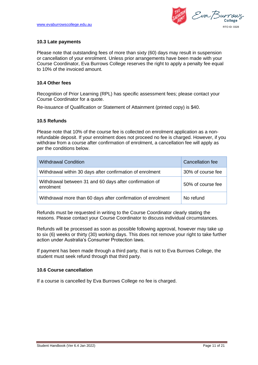Eva Burrau RTO ID: 0328

## **10.3 Late payments**

Please note that outstanding fees of more than sixty (60) days may result in suspension or cancellation of your enrolment. Unless prior arrangements have been made with your Course Coordinator, Eva Burrows College reserves the right to apply a penalty fee equal to 10% of the invoiced amount.

## **10.4 Other fees**

Recognition of Prior Learning (RPL) has specific assessment fees; please contact your Course Coordinator for a quote.

Re-issuance of Qualification or Statement of Attainment (printed copy) is \$40.

## **10.5 Refunds**

Please note that 10% of the course fee is collected on enrolment application as a nonrefundable deposit. If your enrolment does not proceed no fee is charged. However, if you withdraw from a course after confirmation of enrolment, a cancellation fee will apply as per the conditions below.

| <b>Withdrawal Condition</b>                                          | Cancellation fee  |
|----------------------------------------------------------------------|-------------------|
| Withdrawal within 30 days after confirmation of enrolment            | 30% of course fee |
| Withdrawal between 31 and 60 days after confirmation of<br>enrolment | 50% of course fee |
| Withdrawal more than 60 days after confirmation of enrolment         | No refund         |

Refunds must be requested in writing to the Course Coordinator clearly stating the reasons. Please contact your Course Coordinator to discuss individual circumstances.

Refunds will be processed as soon as possible following approval, however may take up to six (6) weeks or thirty (30) working days. This does not remove your right to take further action under Australia's Consumer Protection laws.

If payment has been made through a third party, that is not to Eva Burrows College, the student must seek refund through that third party.

## **10.6 Course cancellation**

If a course is cancelled by Eva Burrows College no fee is charged.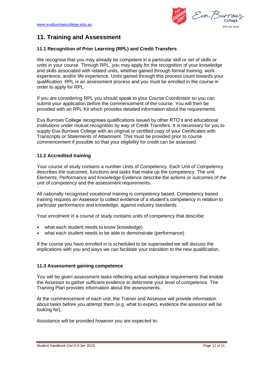Eva Burrau RTO ID: 0328

# **11. Training and Assessment**

# **11.1 Recognition of Prior Learning (RPL) and Credit Transfers**

We recognise that you may already be competent in a particular skill or set of skills or units in your course. Through RPL, you may apply for the recognition of your knowledge and skills associated with related units, whether gained through formal training, work experience, and/or life experience. Units gained through this process count towards your qualification. RPL is an assessment process and you must be enrolled in the course in order to apply for RPL.

If you are considering RPL you should speak to your Course Coordinator so you can submit your application *before* the commencement of the course. You will then be provided with an RPL Kit which provides detailed information about the requirements.

Eva Burrows College recognises qualifications issued by other RTO's and educational institutions under mutual recognition by way of Credit Transfers. It is necessary for you to supply Eva Burrows College with an original or certified copy of your Certificates with Transcripts or Statements of Attainment. This must be provided prior to course commencement if possible so that your eligibility for credit can be assessed.

# **11.2 Accredited training**

Your course of study contains a number Units of Competency. Each Unit of Competency describes the outcomes, functions and tasks that make up the competency. The unit Elements, Performance and Knowledge Evidence describe the actions or outcomes of the unit of competency and the assessment requirements.

All nationally recognised vocational training is competency based. Competency based training requires an Assessor to collect evidence of a student's competency in relation to particular performance and knowledge, against industry standards.

Your enrolment in a course of study contains units of competency that describe:

- what each student needs to know (knowledge)
- what each student needs to be able to demonstrate (performance)

If the course you have enrolled in is scheduled to be superseded we will discuss the implications with you and ways we can facilitate your transition to the new qualification.

# **11.3 Assessment gaining competence**

You will be given assessment tasks reflecting actual workplace requirements that enable the Assessor to gather sufficient evidence to determine your level of competence. The Training Plan provides information about the assessments.

At the commencement of each unit, the Trainer and Assessor will provide information about tasks before you attempt them (e.g. what to expect, evidence the assessor will be looking for).

Assistance will be provided however you are expected to: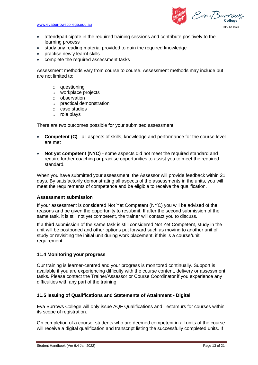Eva Burrau RTO ID: 0328

- attend/participate in the required training sessions and contribute positively to the learning process
- study any reading material provided to gain the required knowledge
- practise newly learnt skills
- complete the required assessment tasks

Assessment methods vary from course to course. Assessment methods may include but are not limited to:

- o questioning
- o workplace projects
- o observation
- o practical demonstration
- o case studies
- o role plays

There are two outcomes possible for your submitted assessment:

- **Competent (C)** all aspects of skills, knowledge and performance for the course level are met
- **Not yet competent (NYC)** some aspects did not meet the required standard and require further coaching or practise opportunities to assist you to meet the required standard.

When you have submitted your assessment, the Assessor will provide feedback within 21 days. By satisfactorily demonstrating all aspects of the assessments in the units, you will meet the requirements of competence and be eligible to receive the qualification.

## **Assessment submission**

If your assessment is considered Not Yet Competent (NYC) you will be advised of the reasons and be given the opportunity to resubmit. If after the second submission of the same task, it is still not yet competent, the trainer will contact you to discuss.

If a third submission of the same task is still considered Not Yet Competent, study in the unit will be postponed and other options put forward such as moving to another unit of study or revisiting the initial unit during work placement, if this is a course/unit requirement.

## **11.4 Monitoring your progress**

Our training is learner-centred and your progress is monitored continually. Support is available if you are experiencing difficulty with the course content, delivery or assessment tasks. Please contact the Trainer/Assessor or Course Coordinator if you experience any difficulties with any part of the training.

## **11.5 Issuing of Qualifications and Statements of Attainment - Digital**

Eva Burrows College will only issue AQF Qualifications and Testamurs for courses within its scope of registration.

On completion of a course, students who are deemed competent in all units of the course will receive a digital qualification and transcript listing the successfully completed units. If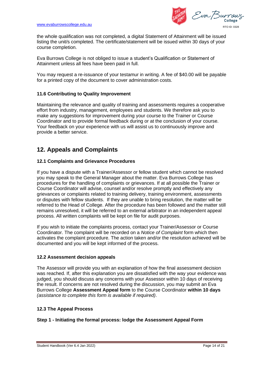Eva Burrou RTO ID: 0328

the whole qualification was not completed, a digital Statement of Attainment will be issued listing the unit/s completed. The certificate/statement will be issued within 30 days of your course completion.

Eva Burrows College is not obliged to issue a student's Qualification or Statement of Attainment unless all fees have been paid in full.

You may request a re-issuance of your testamur in writing. A fee of \$40.00 will be payable for a printed copy of the document to cover administration costs.

# **11.6 Contributing to Quality Improvement**

Maintaining the relevance and quality of training and assessments requires a cooperative effort from industry, management, employees and students. We therefore ask you to make any suggestions for improvement during your course to the Trainer or Course Coordinator and to provide formal feedback during or at the conclusion of your course. Your feedback on your experience with us will assist us to continuously improve and provide a better service.

# **12. Appeals and Complaints**

# **12.1 Complaints and Grievance Procedures**

If you have a dispute with a Trainer/Assessor or fellow student which cannot be resolved you may speak to the General Manager about the matter. Eva Burrows College has procedures for the handling of complaints or grievances. If at all possible the Trainer or Course Coordinator will advise, counsel and/or resolve promptly and effectively any grievances or complaints related to training delivery, training environment, assessments or disputes with fellow students. If they are unable to bring resolution, the matter will be referred to the Head of College. After the procedure has been followed and the matter still remains unresolved, it will be referred to an external arbitrator in an independent appeal process. All written complaints will be kept on file for audit purposes.

If you wish to initiate the complaints process, contact your Trainer/Assessor or Course Coordinator. The complaint will be recorded on a *Notice of Complaint* form which then activates the complaint procedure. The action taken and/or the resolution achieved will be documented and you will be kept informed of the process.

# **12.2 Assessment decision appeals**

The Assessor will provide you with an explanation of how the final assessment decision was reached. If, after this explanation you are dissatisfied with the way your evidence was judged, you should discuss any concerns with your Assessor within 10 days of receiving the result. If concerns are not resolved during the discussion, you may submit an Eva Burrows College **Assessment Appeal form** to the Course Coordinator **within 10 days** *(assistance to complete this form is available if required)*.

# **12.3 The Appeal Process**

# **Step 1 - Initiating the formal process: lodge the Assessment Appeal Form**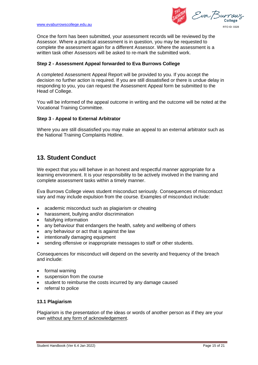Eva Burro RTO ID: 0328

Once the form has been submitted, your assessment records will be reviewed by the Assessor. Where a practical assessment is in question, you may be requested to complete the assessment again for a different Assessor. Where the assessment is a written task other Assessors will be asked to re-mark the submitted work.

## **Step 2 - Assessment Appeal forwarded to Eva Burrows College**

A completed Assessment Appeal Report will be provided to you. If you accept the decision no further action is required. If you are still dissatisfied or there is undue delay in responding to you, you can request the Assessment Appeal form be submitted to the Head of College.

You will be informed of the appeal outcome in writing and the outcome will be noted at the Vocational Training Committee.

## **Step 3 - Appeal to External Arbitrator**

Where you are still dissatisfied you may make an appeal to an external arbitrator such as the National Training Complaints Hotline.

# **13. Student Conduct**

We expect that you will behave in an honest and respectful manner appropriate for a learning environment. It is your responsibility to be actively involved in the training and complete assessment tasks within a timely manner.

Eva Burrows College views student misconduct seriously. Consequences of misconduct vary and may include expulsion from the course. Examples of misconduct include:

- academic misconduct such as plagiarism or cheating
- harassment, bullying and/or discrimination
- falsifying information
- any behaviour that endangers the health, safety and wellbeing of others
- any behaviour or act that is against the law
- intentionally damaging equipment
- sending offensive or inappropriate messages to staff or other students.

Consequences for misconduct will depend on the severity and frequency of the breach and include:

- formal warning
- suspension from the course
- student to reimburse the costs incurred by any damage caused
- referral to police

## **13.1 Plagiarism**

Plagiarism is the presentation of the ideas or words of another person as if they are your own without any form of acknowledgement.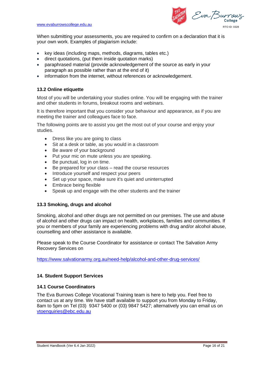Eva Burrau RTO ID: 0328

When submitting your assessments, you are required to confirm on a declaration that it is your own work. Examples of plagiarism include:

- key ideas (including maps, methods, diagrams, tables etc.)
- direct quotations, (put them inside quotation marks)
- paraphrased material (provide acknowledgement of the source as early in your paragraph as possible rather than at the end of it)
- information from the internet, without references or acknowledgement.

# **13.2 Online etiquette**

Most of you will be undertaking your studies online. You will be engaging with the trainer and other students in forums, breakout rooms and webinars.

It is therefore important that you consider your behaviour and appearance, as if you are meeting the trainer and colleagues face to face.

The following points are to assist you get the most out of your course and enjoy your studies.

- Dress like you are going to class
- Sit at a desk or table, as you would in a classroom
- Be aware of your background
- Put your mic on mute unless you are speaking.
- Be punctual, log in on time.
- Be prepared for your class read the course resources
- Introduce yourself and respect your peers
- Set up your space, make sure it's quiet and uninterrupted
- Embrace being flexible
- Speak up and engage with the other students and the trainer

## **13.3 Smoking, drugs and alcohol**

Smoking, alcohol and other drugs are not permitted on our premises. The use and abuse of alcohol and other drugs can impact on health, workplaces, families and communities. If you or members of your family are experiencing problems with drug and/or alcohol abuse, counselling and other assistance is available.

Please speak to the Course Coordinator for assistance or contact The Salvation Army Recovery Services on

<https://www.salvationarmy.org.au/need-help/alcohol-and-other-drug-services/>

## **14. Student Support Services**

## **14.1 Course Coordinators**

The Eva Burrows College Vocational Training team is here to help you. Feel free to contact us at any time. We have staff available to support you from Monday to Friday, 8am to 5pm on Tel (03) 9347 5400 or (03) 9847 5427; alternatively you can email us on [vtoenquiries@ebc.edu.au](mailto:vtoenquiries@ebc.edu.au)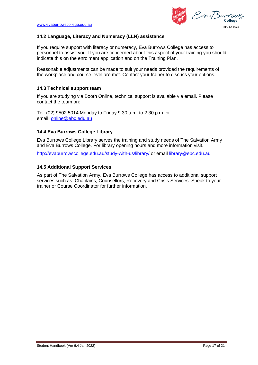Eva Burrau RTO ID: 0328

# **14.2 Language, Literacy and Numeracy (LLN) assistance**

If you require support with literacy or numeracy, Eva Burrows College has access to personnel to assist you. If you are concerned about this aspect of your training you should indicate this on the enrolment application and on the Training Plan.

Reasonable adjustments can be made to suit your needs provided the requirements of the workplace and course level are met. Contact your trainer to discuss your options.

# **14.3 Technical support team**

If you are studying via Booth Online, technical support is available via email. Please contact the team on:

Tel: (02) 9502 5014 Monday to Friday 9.30 a.m. to 2.30 p.m. or email: [online@ebc.edu.au](mailto:online@ebc.edu.au)

# **14.4 Eva Burrows College Library**

Eva Burrows College Library serves the training and study needs of The Salvation Army and Eva Burrows College. For library opening hours and more information visit.

<http://evaburrowscollege.edu.au/study-with-us/library/> or email [library@ebc.edu.au](mailto:library@ebc.edu.au)

# **14.5 Additional Support Services**

As part of The Salvation Army, Eva Burrows College has access to additional support services such as; Chaplains, Counsellors, Recovery and Crisis Services. Speak to your trainer or Course Coordinator for further information.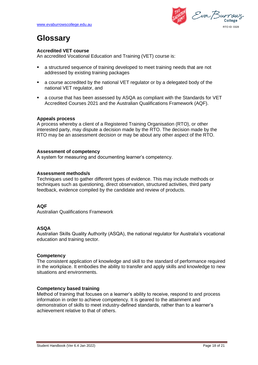Eva Burrau RTO ID: 0328

# **Glossary**

# **Accredited VET course**

An accredited Vocational Education and Training (VET) course is:

- a structured sequence of training developed to meet training needs that are not addressed by existing training packages
- a course accredited by the national VET regulator or by a delegated body of the national VET regulator, and
- a course that has been assessed by ASQA as compliant with the Standards for VET Accredited Courses 2021 and the Australian Qualifications Framework (AQF).

## **Appeals process**

A process whereby a client of a Registered Training Organisation (RTO), or other interested party, may dispute a decision made by the RTO. The decision made by the RTO may be an assessment decision or may be about any other aspect of the RTO.

## **Assessment of competency**

A system for measuring and documenting learner's competency.

## **Assessment methods/s**

Techniques used to gather different types of evidence. This may include methods or techniques such as questioning, direct observation, structured activities, third party feedback, evidence compiled by the candidate and review of products.

# **AQF**

Australian Qualifications Framework

# **ASQA**

Australian Skills Quality Authority (ASQA), the national regulator for Australia's vocational education and training sector.

# **Competency**

The consistent application of knowledge and skill to the standard of performance required in the workplace. It embodies the ability to transfer and apply skills and knowledge to new situations and environments.

# **Competency based training**

Method of training that focuses on a learner's ability to receive, respond to and process information in order to achieve competency. It is geared to the attainment and demonstration of skills to meet industry-defined standards, rather than to a learner's achievement relative to that of others.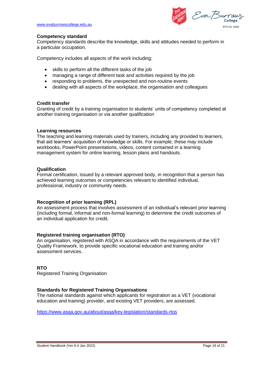Eva Burrau RTO ID: 0328

## **Competency standard**

Competency standards describe the knowledge, skills and attitudes needed to perform in a particular occupation.

Competency includes all aspects of the work including:

- skills to perform all the different tasks of the job
- managing a range of different task and activities required by the job
- responding to problems, the unexpected and non-routine events
- dealing with all aspects of the workplace, the organisation and colleagues

## **Credit transfer**

Granting of credit by a training organisation to students' units of competency completed at another training organisation or via another qualification

## **Learning resources**

The teaching and learning materials used by trainers, including any provided to learners, that aid learners' acquisition of knowledge or skills. For example, these may include workbooks, PowerPoint presentations, videos, content contained in a learning management system for online learning, lesson plans and handouts.

## **Qualification**

Formal certification, issued by a relevant approved body, in recognition that a person has achieved learning outcomes or competencies relevant to identified individual, professional, industry or community needs.

# **Recognition of prior learning (RPL)**

An assessment process that involves assessment of an individual's relevant prior learning (including formal, informal and non-formal learning) to determine the credit outcomes of an individual application for credit.

# **Registered training organisation (RTO)**

An organisation, registered with ASQA in accordance with the requirements of the VET Quality Framework, to provide specific vocational education and training and/or assessment services.

## **RTO**

Registered Training Organisation

## **Standards for Registered Training Organisations**

The national standards against which applicants for registration as a VET (vocational education and training) provider, and existing VET providers, are assessed.

<https://www.asqa.gov.au/about/asqa/key-legislation/standards-rtos>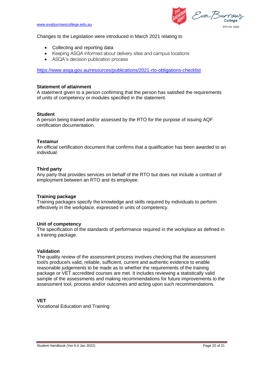Eva Burrau RTO ID: 0328

## Changes to the Legislation were introduced in March 2021 relating to

- Collecting and reporting data
- Keeping ASQA informed about delivery sites and campus locations
- ASQA's decision publication process

<https://www.asqa.gov.au/resources/publications/2021-rto-obligations-checklist>

## **Statement of attainment**

A statement given to a person confirming that the person has satisfied the requirements of units of competency or modules specified in the statement.

## **Student**

A person being trained and/or assessed by the RTO for the purpose of issuing AQF certification documentation.

## **Testamur**

An official certification document that confirms that a qualification has been awarded to an individual.

## **Third party**

Any party that provides services on behalf of the RTO but does not include a contract of employment between an RTO and its employee.

## **Training package**

Training packages specify the knowledge and skills required by individuals to perform effectively in the workplace, expressed in units of competency.

## **Unit of competency**

The specification of the standards of performance required in the workplace as defined in a training package.

## **Validation**

The quality review of the assessment process involves checking that the assessment tool/s produce/s valid, reliable, sufficient, current and authentic evidence to enable reasonable judgements to be made as to whether the requirements of the training package or VET accredited courses are met. It includes reviewing a statistically valid sample of the assessments and making recommendations for future improvements to the assessment tool, process and/or outcomes and acting upon such recommendations.

## **VET**

Vocational Education and Training